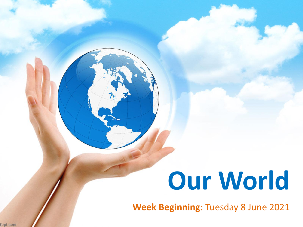# **Our World**

**Week Beginning:** Tuesday 8 June 2021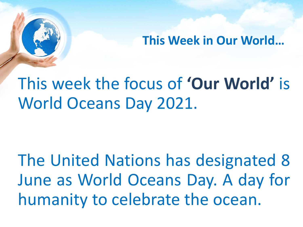**This Week in Our World…**

## This week the focus of **'Our World'** is World Oceans Day 2021.

The United Nations has designated 8 June as World Oceans Day. A day for humanity to celebrate the ocean.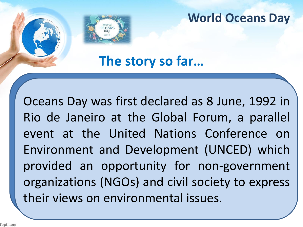

**The story so far…**

Oceans Day was first declared as 8 June, 1992 in Rio de Janeiro at the Global Forum, a parallel event at the United Nations Conference on Environment and Development (UNCED) which provided an opportunity for non-government organizations (NGOs) and civil society to express their views on environmental issues.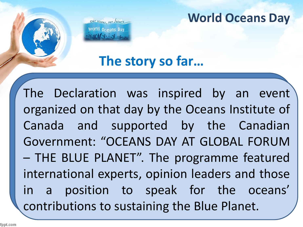Our oceans, our future world O<sub>Geans</sub> Day

**The story so far…**

The Declaration was inspired by an event organized on that day by the Oceans Institute of Canada and supported by the Canadian Government: "OCEANS DAY AT GLOBAL FORUM – THE BLUE PLANET". The programme featured international experts, opinion leaders and those in a position to speak for the oceans' contributions to sustaining the Blue Planet.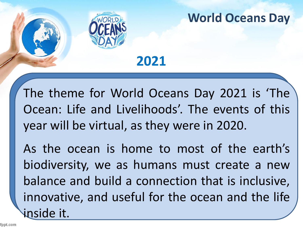

**2021**

The theme for World Oceans Day 2021 is 'The Ocean: Life and Livelihoods'. The events of this year will be virtual, as they were in 2020.

As the ocean is home to most of the earth's biodiversity, we as humans must create a new balance and build a connection that is inclusive, innovative, and useful for the ocean and the life inside it.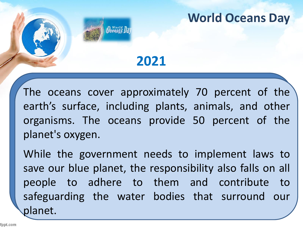## **2021**

Deeans Di

The oceans cover approximately 70 percent of the earth's surface, including plants, animals, and other organisms. The oceans provide 50 percent of the planet's oxygen.

While the government needs to implement laws to save our blue planet, the responsibility also falls on all people to adhere to them and contribute to safeguarding the water bodies that surround our planet.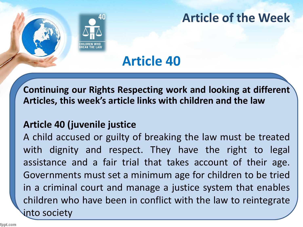

## **Article of the Week**

## **Article 40**

**Continuing our Rights Respecting work and looking at different Articles, this week's article links with children and the law**

#### **Article 40 (juvenile justice**

A child accused or guilty of breaking the law must be treated with dignity and respect. They have the right to legal assistance and a fair trial that takes account of their age. Governments must set a minimum age for children to be tried in a criminal court and manage a justice system that enables children who have been in conflict with the law to reintegrate into society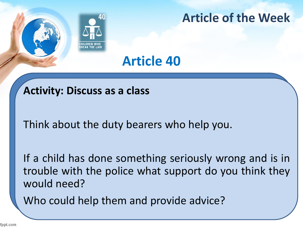

## **Article of the Week**

## **Article 40**

#### **Activity: Discuss as a class**

Think about the duty bearers who help you.

If a child has done something seriously wrong and is in trouble with the police what support do you think they would need?

Who could help them and provide advice?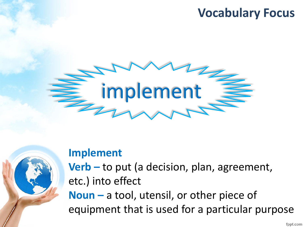## **Vocabulary Focus**





#### **Implement**

**Verb –** to put (a decision, plan, agreement, etc.) into effect **Noun –** a tool, utensil, or other piece of

equipment that is used for a particular purpose